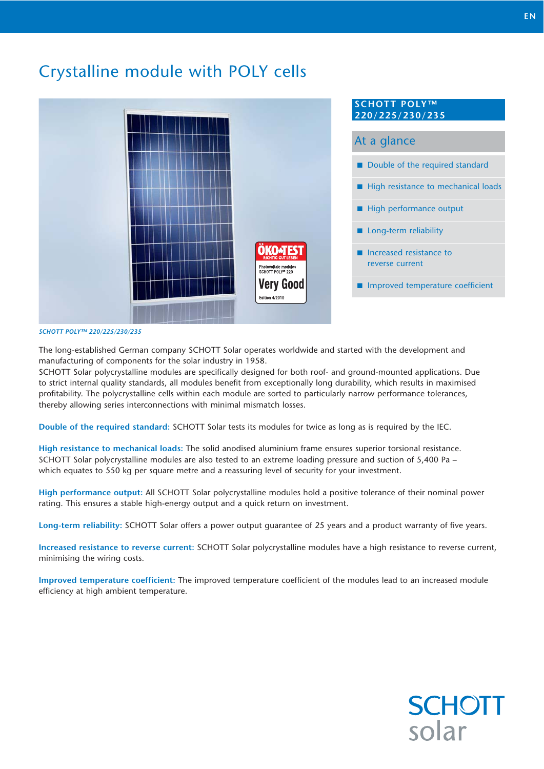# Crystalline module with POLY cells



#### *SCHOTT POLY™ 220/225/230/235*

The long-established German company SCHOTT Solar operates worldwide and started with the development and manufacturing of components for the solar industry in 1958.

SCHOTT Solar polycrystalline modules are specifically designed for both roof- and ground-mounted applications. Due to strict internal quality standards, all modules benefit from exceptionally long durability, which results in maximised profitability. The polycrystalline cells within each module are sorted to particularly narrow performance tolerances, thereby allowing series interconnections with minimal mismatch losses.

**Double of the required standard:** SCHOTT Solar tests its modules for twice as long as is required by the IEC.

**High resistance to mechanical loads:** The solid anodised aluminium frame ensures superior torsional resistance. SCHOTT Solar polycrystalline modules are also tested to an extreme loading pressure and suction of 5,400 Pa – which equates to 550 kg per square metre and a reassuring level of security for your investment.

**High performance output:** All SCHOTT Solar polycrystalline modules hold a positive tolerance of their nominal power rating. This ensures a stable high-energy output and a quick return on investment.

**Long-term reliability:** SCHOTT Solar offers a power output guarantee of 25 years and a product warranty of five years.

**Increased resistance to reverse current:** SCHOTT Solar polycrystalline modules have a high resistance to reverse current, minimising the wiring costs.

**Improved temperature coefficient:** The improved temperature coefficient of the modules lead to an increased module efficiency at high ambient temperature.